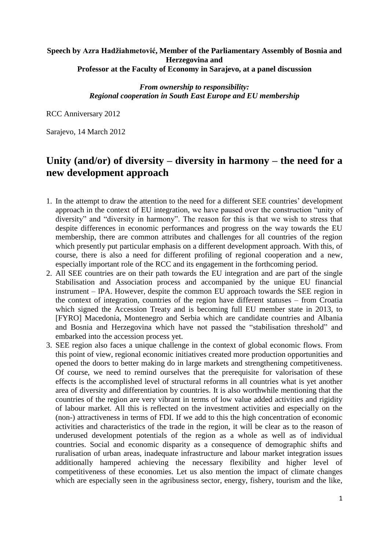## **Speech by Azra Hadžiahmetović, Member of the Parliamentary Assembly of Bosnia and Herzegovina and Professor at the Faculty of Economy in Sarajevo, at a panel discussion**

*From ownership to responsibility: Regional cooperation in South East Europe and EU membership*

RCC Anniversary 2012

Sarajevo, 14 March 2012

## **Unity (and/or) of diversity – diversity in harmony – the need for a new development approach**

- 1. In the attempt to draw the attention to the need for a different SEE countries' development approach in the context of EU integration, we have paused over the construction "unity of diversity" and "diversity in harmony". The reason for this is that we wish to stress that despite differences in economic performances and progress on the way towards the EU membership, there are common attributes and challenges for all countries of the region which presently put particular emphasis on a different development approach. With this, of course, there is also a need for different profiling of regional cooperation and a new, especially important role of the RCC and its engagement in the forthcoming period.
- 2. All SEE countries are on their path towards the EU integration and are part of the single Stabilisation and Association process and accompanied by the unique EU financial instrument – IPA. However, despite the common EU approach towards the SEE region in the context of integration, countries of the region have different statuses – from Croatia which signed the Accession Treaty and is becoming full EU member state in 2013, to [FYRO] Macedonia, Montenegro and Serbia which are candidate countries and Albania and Bosnia and Herzegovina which have not passed the "stabilisation threshold" and embarked into the accession process yet.
- 3. SEE region also faces a unique challenge in the context of global economic flows. From this point of view, regional economic initiatives created more production opportunities and opened the doors to better making do in large markets and strengthening competitiveness. Of course, we need to remind ourselves that the prerequisite for valorisation of these effects is the accomplished level of structural reforms in all countries what is yet another area of diversity and differentiation by countries. It is also worthwhile mentioning that the countries of the region are very vibrant in terms of low value added activities and rigidity of labour market. All this is reflected on the investment activities and especially on the (non-) attractiveness in terms of FDI. If we add to this the high concentration of economic activities and characteristics of the trade in the region, it will be clear as to the reason of underused development potentials of the region as a whole as well as of individual countries. Social and economic disparity as a consequence of demographic shifts and ruralisation of urban areas, inadequate infrastructure and labour market integration issues additionally hampered achieving the necessary flexibility and higher level of competitiveness of these economies. Let us also mention the impact of climate changes which are especially seen in the agribusiness sector, energy, fishery, tourism and the like,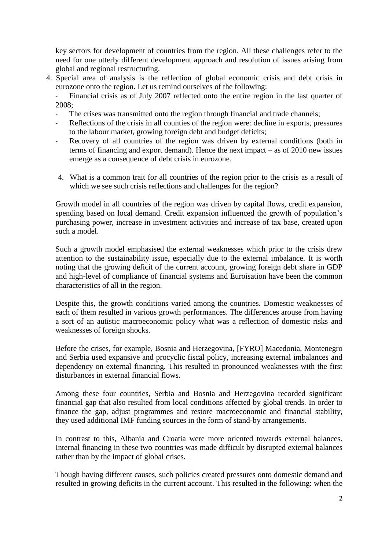key sectors for development of countries from the region. All these challenges refer to the need for one utterly different development approach and resolution of issues arising from global and regional restructuring.

4. Special area of analysis is the reflection of global economic crisis and debt crisis in eurozone onto the region. Let us remind ourselves of the following:

Financial crisis as of July 2007 reflected onto the entire region in the last quarter of 2008;

- The crises was transmitted onto the region through financial and trade channels;
- Reflections of the crisis in all counties of the region were: decline in exports, pressures to the labour market, growing foreign debt and budget deficits;
- Recovery of all countries of the region was driven by external conditions (both in terms of financing and export demand). Hence the next impact – as of 2010 new issues emerge as a consequence of debt crisis in eurozone.
- 4. What is a common trait for all countries of the region prior to the crisis as a result of which we see such crisis reflections and challenges for the region?

Growth model in all countries of the region was driven by capital flows, credit expansion, spending based on local demand. Credit expansion influenced the growth of population's purchasing power, increase in investment activities and increase of tax base, created upon such a model.

Such a growth model emphasised the external weaknesses which prior to the crisis drew attention to the sustainability issue, especially due to the external imbalance. It is worth noting that the growing deficit of the current account, growing foreign debt share in GDP and high-level of compliance of financial systems and Euroisation have been the common characteristics of all in the region.

Despite this, the growth conditions varied among the countries. Domestic weaknesses of each of them resulted in various growth performances. The differences arouse from having a sort of an autistic macroeconomic policy what was a reflection of domestic risks and weaknesses of foreign shocks.

Before the crises, for example, Bosnia and Herzegovina, [FYRO] Macedonia, Montenegro and Serbia used expansive and procyclic fiscal policy, increasing external imbalances and dependency on external financing. This resulted in pronounced weaknesses with the first disturbances in external financial flows.

Among these four countries, Serbia and Bosnia and Herzegovina recorded significant financial gap that also resulted from local conditions affected by global trends. In order to finance the gap, adjust programmes and restore macroeconomic and financial stability, they used additional IMF funding sources in the form of stand-by arrangements.

In contrast to this, Albania and Croatia were more oriented towards external balances. Internal financing in these two countries was made difficult by disrupted external balances rather than by the impact of global crises.

Though having different causes, such policies created pressures onto domestic demand and resulted in growing deficits in the current account. This resulted in the following: when the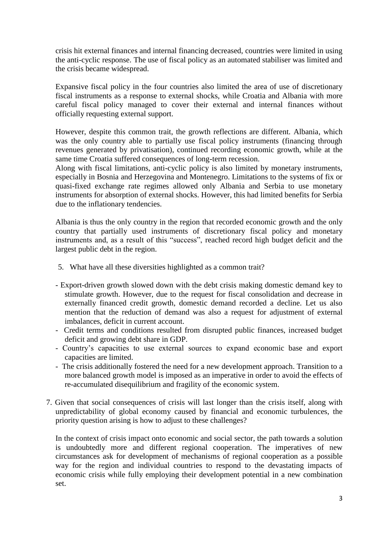crisis hit external finances and internal financing decreased, countries were limited in using the anti-cyclic response. The use of fiscal policy as an automated stabiliser was limited and the crisis became widespread.

Expansive fiscal policy in the four countries also limited the area of use of discretionary fiscal instruments as a response to external shocks, while Croatia and Albania with more careful fiscal policy managed to cover their external and internal finances without officially requesting external support.

However, despite this common trait, the growth reflections are different. Albania, which was the only country able to partially use fiscal policy instruments (financing through revenues generated by privatisation), continued recording economic growth, while at the same time Croatia suffered consequences of long-term recession.

Along with fiscal limitations, anti-cyclic policy is also limited by monetary instruments, especially in Bosnia and Herzegovina and Montenegro. Limitations to the systems of fix or quasi-fixed exchange rate regimes allowed only Albania and Serbia to use monetary instruments for absorption of external shocks. However, this had limited benefits for Serbia due to the inflationary tendencies.

Albania is thus the only country in the region that recorded economic growth and the only country that partially used instruments of discretionary fiscal policy and monetary instruments and, as a result of this "success", reached record high budget deficit and the largest public debt in the region.

- 5. What have all these diversities highlighted as a common trait?
- Export-driven growth slowed down with the debt crisis making domestic demand key to stimulate growth. However, due to the request for fiscal consolidation and decrease in externally financed credit growth, domestic demand recorded a decline. Let us also mention that the reduction of demand was also a request for adjustment of external imbalances, deficit in current account.
- Credit terms and conditions resulted from disrupted public finances, increased budget deficit and growing debt share in GDP.
- Country's capacities to use external sources to expand economic base and export capacities are limited.
- The crisis additionally fostered the need for a new development approach. Transition to a more balanced growth model is imposed as an imperative in order to avoid the effects of re-accumulated disequilibrium and fragility of the economic system.
- 7. Given that social consequences of crisis will last longer than the crisis itself, along with unpredictability of global economy caused by financial and economic turbulences, the priority question arising is how to adjust to these challenges?

In the context of crisis impact onto economic and social sector, the path towards a solution is undoubtedly more and different regional cooperation. The imperatives of new circumstances ask for development of mechanisms of regional cooperation as a possible way for the region and individual countries to respond to the devastating impacts of economic crisis while fully employing their development potential in a new combination set.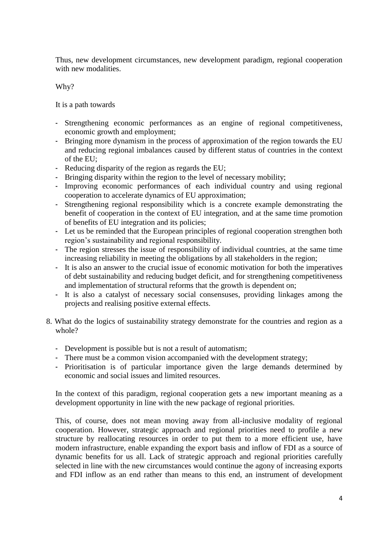Thus, new development circumstances, new development paradigm, regional cooperation with new modalities.

Why?

It is a path towards

- Strengthening economic performances as an engine of regional competitiveness, economic growth and employment;
- Bringing more dynamism in the process of approximation of the region towards the EU and reducing regional imbalances caused by different status of countries in the context of the EU;
- Reducing disparity of the region as regards the EU;
- Bringing disparity within the region to the level of necessary mobility;
- Improving economic performances of each individual country and using regional cooperation to accelerate dynamics of EU approximation;
- Strengthening regional responsibility which is a concrete example demonstrating the benefit of cooperation in the context of EU integration, and at the same time promotion of benefits of EU integration and its policies;
- Let us be reminded that the European principles of regional cooperation strengthen both region's sustainability and regional responsibility.
- The region stresses the issue of responsibility of individual countries, at the same time increasing reliability in meeting the obligations by all stakeholders in the region;
- It is also an answer to the crucial issue of economic motivation for both the imperatives of debt sustainability and reducing budget deficit, and for strengthening competitiveness and implementation of structural reforms that the growth is dependent on;
- It is also a catalyst of necessary social consensuses, providing linkages among the projects and realising positive external effects.
- 8. What do the logics of sustainability strategy demonstrate for the countries and region as a whole?
	- Development is possible but is not a result of automatism;
	- There must be a common vision accompanied with the development strategy;
	- Prioritisation is of particular importance given the large demands determined by economic and social issues and limited resources.

In the context of this paradigm, regional cooperation gets a new important meaning as a development opportunity in line with the new package of regional priorities.

This, of course, does not mean moving away from all-inclusive modality of regional cooperation. However, strategic approach and regional priorities need to profile a new structure by reallocating resources in order to put them to a more efficient use, have modern infrastructure, enable expanding the export basis and inflow of FDI as a source of dynamic benefits for us all. Lack of strategic approach and regional priorities carefully selected in line with the new circumstances would continue the agony of increasing exports and FDI inflow as an end rather than means to this end, an instrument of development